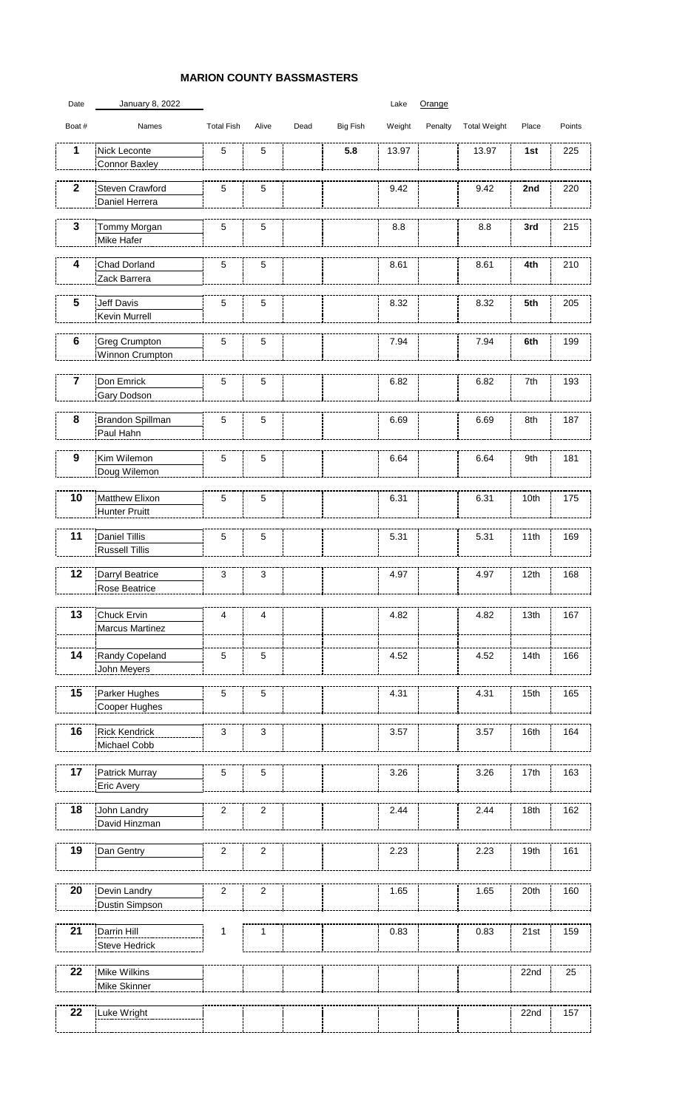## **MARION COUNTY BASSMASTERS**

| Date                    | January 8, 2022                               |                   |                  |      |                 | Lake   | Orange  |                     |       |        |
|-------------------------|-----------------------------------------------|-------------------|------------------|------|-----------------|--------|---------|---------------------|-------|--------|
| Boat #                  | Names                                         | <b>Total Fish</b> | Alive            | Dead | <b>Big Fish</b> | Weight | Penalty | <b>Total Weight</b> | Place | Points |
| 1                       | Nick Leconte<br>Connor Baxley                 | 5                 | 5                |      | 5.8             | 13.97  |         | 13.97               | 1st   | 225    |
| $\overline{\mathbf{2}}$ | Steven Crawford<br>Daniel Herrera             | 5                 | 5                |      |                 | 9.42   |         | 9.42                | 2nd   | 220    |
| 3                       | Tommy Morgan<br>Mike Hafer                    | $\sqrt{5}$        | 5                |      |                 | 8.8    |         | 8.8                 | 3rd   | 215    |
| 4                       | Chad Dorland<br>Zack Barrera                  | 5                 | 5                |      |                 | 8.61   |         | 8.61                | 4th   | 210    |
| 5                       | Jeff Davis<br>Kevin Murrell                   | 5                 | $\sqrt{5}$       |      |                 | 8.32   |         | 8.32                | 5th   | 205    |
| $\bf 6$                 | Greg Crumpton<br>Winnon Crumpton              | 5                 | 5                |      |                 | 7.94   |         | 7.94                | 6th   | 199    |
| $\overline{7}$          | Don Emrick<br>Gary Dodson                     | 5                 | 5                |      |                 | 6.82   |         | 6.82                | 7th   | 193    |
| 8                       | Brandon Spillman<br>Paul Hahn                 | 5                 | 5                |      |                 | 6.69   |         | 6.69                | 8th   | 187    |
| 9                       | Kim Wilemon<br>Doug Wilemon                   | $\sqrt{5}$        | $\overline{5}$   |      |                 | 6.64   |         | 6.64                | 9th   | 181    |
| 10                      | Matthew Elixon<br><b>Hunter Pruitt</b>        | 5                 | 5                |      |                 | 6.31   |         | 6.31                | 10th  | 175    |
| 11                      | <b>Daniel Tillis</b><br><b>Russell Tillis</b> | $\,$ 5 $\,$       | $\sqrt{5}$       |      |                 | 5.31   |         | 5.31                | 11th  | 169    |
| 12                      | Darryl Beatrice<br>Rose Beatrice              | $\mathsf 3$       | 3                |      |                 | 4.97   |         | 4.97                | 12th  | 168    |
| 13                      | Chuck Ervin<br><b>Marcus Martinez</b>         | 4                 | 4                |      |                 | 4.82   |         | 4.82                | 13th  | 167    |
| 14                      | Randy Copeland<br>John Meyers                 | $\,$ 5 $\,$       | $\overline{5}$   |      |                 | 4.52   |         | 4.52                | 14th  | 166    |
| 15                      | Parker Hughes<br>Cooper Hughes                | 5                 | $\mathbf 5$      |      |                 | 4.31   |         | 4.31                | 15th  | 165    |
| 16                      | <b>Rick Kendrick</b><br>Michael Cobb          | $\mathsf 3$       | 3                |      |                 | 3.57   |         | 3.57                | 16th  | 164    |
| 17                      | Patrick Murray<br>Eric Avery                  | 5                 | $\mathbf 5$      |      |                 | 3.26   |         | 3.26                | 17th  | 163    |
| 18                      | John Landry<br>David Hinzman                  | $\sqrt{2}$        | $\boldsymbol{2}$ |      |                 | 2.44   |         | 2.44                | 18th  | 162    |
| 19                      | Dan Gentry                                    | $\overline{c}$    | $\boldsymbol{2}$ |      |                 | 2.23   |         | 2.23                | 19th  | 161    |
| 20                      | Devin Landry<br>Dustin Simpson                | $\sqrt{2}$        | $\boldsymbol{2}$ |      |                 | 1.65   |         | 1.65                | 20th  | 160    |
| 21                      | Darrin Hill<br><b>Steve Hedrick</b>           | $\mathbf{1}$      | $\mathbf{1}$     |      |                 | 0.83   |         | 0.83                | 21st  | 159    |
| 22                      | Mike Wilkins<br>Mike Skinner                  |                   |                  |      |                 |        |         |                     | 22nd  | 25     |
| 22                      | Luke Wright                                   |                   |                  |      |                 |        |         |                     | 22nd  | 157    |